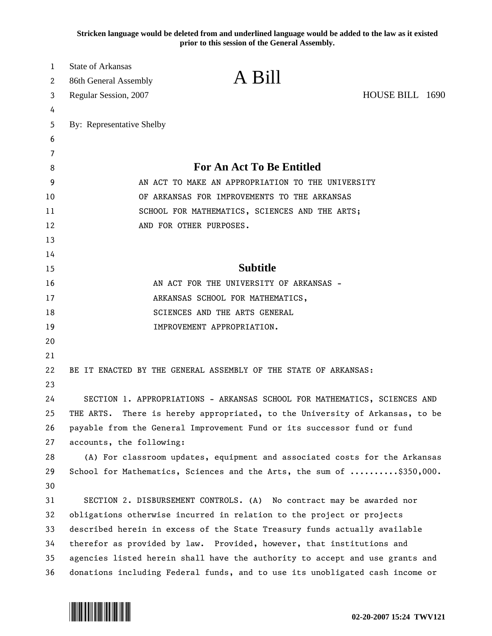**Stricken language would be deleted from and underlined language would be added to the law as it existed prior to this session of the General Assembly.**

| 1       | State of Arkansas                                                               | A Bill                                                                    |                 |  |
|---------|---------------------------------------------------------------------------------|---------------------------------------------------------------------------|-----------------|--|
| 2       | 86th General Assembly                                                           |                                                                           |                 |  |
| 3       | Regular Session, 2007                                                           |                                                                           | HOUSE BILL 1690 |  |
| 4       |                                                                                 |                                                                           |                 |  |
| 5       | By: Representative Shelby                                                       |                                                                           |                 |  |
| 6       |                                                                                 |                                                                           |                 |  |
| 7       |                                                                                 | <b>For An Act To Be Entitled</b>                                          |                 |  |
| 8       | AN ACT TO MAKE AN APPROPRIATION TO THE UNIVERSITY                               |                                                                           |                 |  |
| 9<br>10 |                                                                                 | OF ARKANSAS FOR IMPROVEMENTS TO THE ARKANSAS                              |                 |  |
| 11      | SCHOOL FOR MATHEMATICS, SCIENCES AND THE ARTS;                                  |                                                                           |                 |  |
| 12      | AND FOR OTHER PURPOSES.                                                         |                                                                           |                 |  |
| 13      |                                                                                 |                                                                           |                 |  |
| 14      |                                                                                 |                                                                           |                 |  |
| 15      | <b>Subtitle</b>                                                                 |                                                                           |                 |  |
| 16      | AN ACT FOR THE UNIVERSITY OF ARKANSAS -                                         |                                                                           |                 |  |
| 17      | ARKANSAS SCHOOL FOR MATHEMATICS,                                                |                                                                           |                 |  |
| 18      | SCIENCES AND THE ARTS GENERAL                                                   |                                                                           |                 |  |
| 19      | IMPROVEMENT APPROPRIATION.                                                      |                                                                           |                 |  |
| 20      |                                                                                 |                                                                           |                 |  |
| 21      |                                                                                 |                                                                           |                 |  |
| 22      |                                                                                 | BE IT ENACTED BY THE GENERAL ASSEMBLY OF THE STATE OF ARKANSAS:           |                 |  |
| 23      |                                                                                 |                                                                           |                 |  |
| 24      |                                                                                 | SECTION 1. APPROPRIATIONS - ARKANSAS SCHOOL FOR MATHEMATICS, SCIENCES AND |                 |  |
| 25      | THE ARTS.<br>There is hereby appropriated, to the University of Arkansas, to be |                                                                           |                 |  |
| 26      | payable from the General Improvement Fund or its successor fund or fund         |                                                                           |                 |  |
| 27      | accounts, the following:                                                        |                                                                           |                 |  |
| 28      | (A) For classroom updates, equipment and associated costs for the Arkansas      |                                                                           |                 |  |
| 29      |                                                                                 | School for Mathematics, Sciences and the Arts, the sum of \$350,000.      |                 |  |
| 30      |                                                                                 |                                                                           |                 |  |
| 31      |                                                                                 | SECTION 2. DISBURSEMENT CONTROLS. (A) No contract may be awarded nor      |                 |  |
| 32      | obligations otherwise incurred in relation to the project or projects           |                                                                           |                 |  |
| 33      | described herein in excess of the State Treasury funds actually available       |                                                                           |                 |  |
| 34      | therefor as provided by law. Provided, however, that institutions and           |                                                                           |                 |  |
| 35      | agencies listed herein shall have the authority to accept and use grants and    |                                                                           |                 |  |
| 36      | donations including Federal funds, and to use its unobligated cash income or    |                                                                           |                 |  |